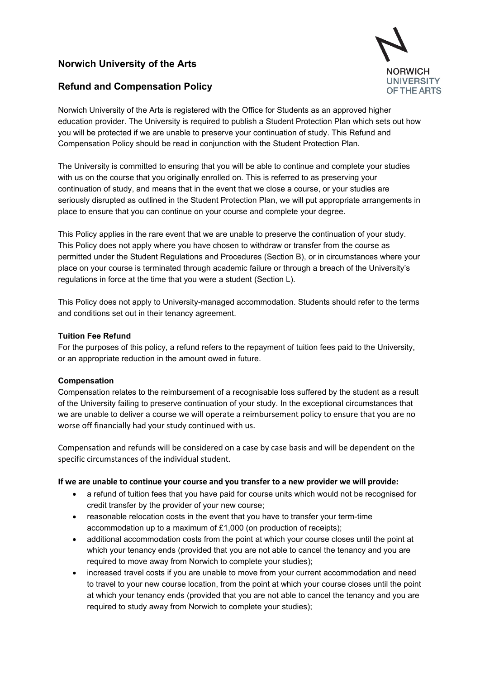## **Norwich University of the Arts**



## **Refund and Compensation Policy**

Norwich University of the Arts is registered with the Office for Students as an approved higher education provider. The University is required to publish a Student Protection Plan which sets out how you will be protected if we are unable to preserve your continuation of study. This Refund and Compensation Policy should be read in conjunction with the Student Protection Plan.

The University is committed to ensuring that you will be able to continue and complete your studies with us on the course that you originally enrolled on. This is referred to as preserving your continuation of study, and means that in the event that we close a course, or your studies are seriously disrupted as outlined in the Student Protection Plan, we will put appropriate arrangements in place to ensure that you can continue on your course and complete your degree.

This Policy applies in the rare event that we are unable to preserve the continuation of your study. This Policy does not apply where you have chosen to withdraw or transfer from the course as permitted under the Student Regulations and Procedures (Section B), or in circumstances where your place on your course is terminated through academic failure or through a breach of the University's regulations in force at the time that you were a student (Section L).

This Policy does not apply to University-managed accommodation. Students should refer to the terms and conditions set out in their tenancy agreement.

#### **Tuition Fee Refund**

For the purposes of this policy, a refund refers to the repayment of tuition fees paid to the University, or an appropriate reduction in the amount owed in future.

### **Compensation**

Compensation relates to the reimbursement of a recognisable loss suffered by the student as a result of the University failing to preserve continuation of your study. In the exceptional circumstances that we are unable to deliver a course we will operate a reimbursement policy to ensure that you are no worse off financially had your study continued with us.

Compensation and refunds will be considered on a case by case basis and will be dependent on the specific circumstances of the individual student.

#### **If we are unable to continue your course and you transfer to a new provider we will provide:**

- a refund of tuition fees that you have paid for course units which would not be recognised for credit transfer by the provider of your new course;
- reasonable relocation costs in the event that you have to transfer your term-time accommodation up to a maximum of £1,000 (on production of receipts);
- additional accommodation costs from the point at which your course closes until the point at which your tenancy ends (provided that you are not able to cancel the tenancy and you are required to move away from Norwich to complete your studies);
- increased travel costs if you are unable to move from your current accommodation and need to travel to your new course location, from the point at which your course closes until the point at which your tenancy ends (provided that you are not able to cancel the tenancy and you are required to study away from Norwich to complete your studies);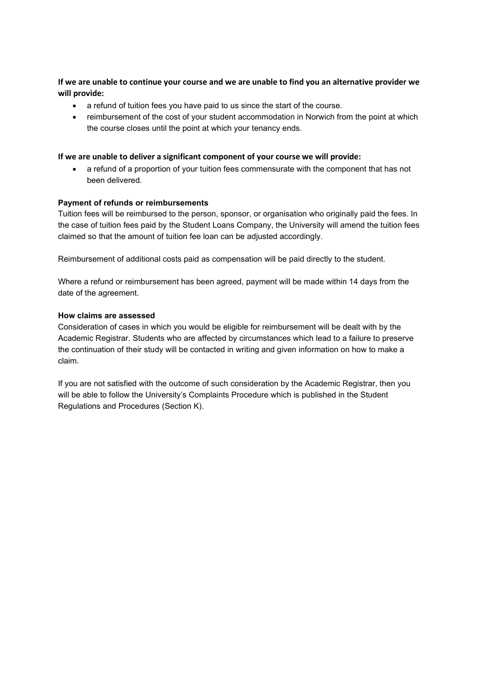**If we are unable to continue your course and we are unable to find you an alternative provider we will provide:** 

- a refund of tuition fees you have paid to us since the start of the course.
- reimbursement of the cost of your student accommodation in Norwich from the point at which the course closes until the point at which your tenancy ends.

#### **If we are unable to deliver a significant component of your course we will provide:**

• a refund of a proportion of your tuition fees commensurate with the component that has not been delivered.

#### **Payment of refunds or reimbursements**

Tuition fees will be reimbursed to the person, sponsor, or organisation who originally paid the fees. In the case of tuition fees paid by the Student Loans Company, the University will amend the tuition fees claimed so that the amount of tuition fee loan can be adjusted accordingly.

Reimbursement of additional costs paid as compensation will be paid directly to the student.

Where a refund or reimbursement has been agreed, payment will be made within 14 days from the date of the agreement.

#### **How claims are assessed**

Consideration of cases in which you would be eligible for reimbursement will be dealt with by the Academic Registrar. Students who are affected by circumstances which lead to a failure to preserve the continuation of their study will be contacted in writing and given information on how to make a claim.

If you are not satisfied with the outcome of such consideration by the Academic Registrar, then you will be able to follow the University's Complaints Procedure which is published in the Student Regulations and Procedures (Section K).